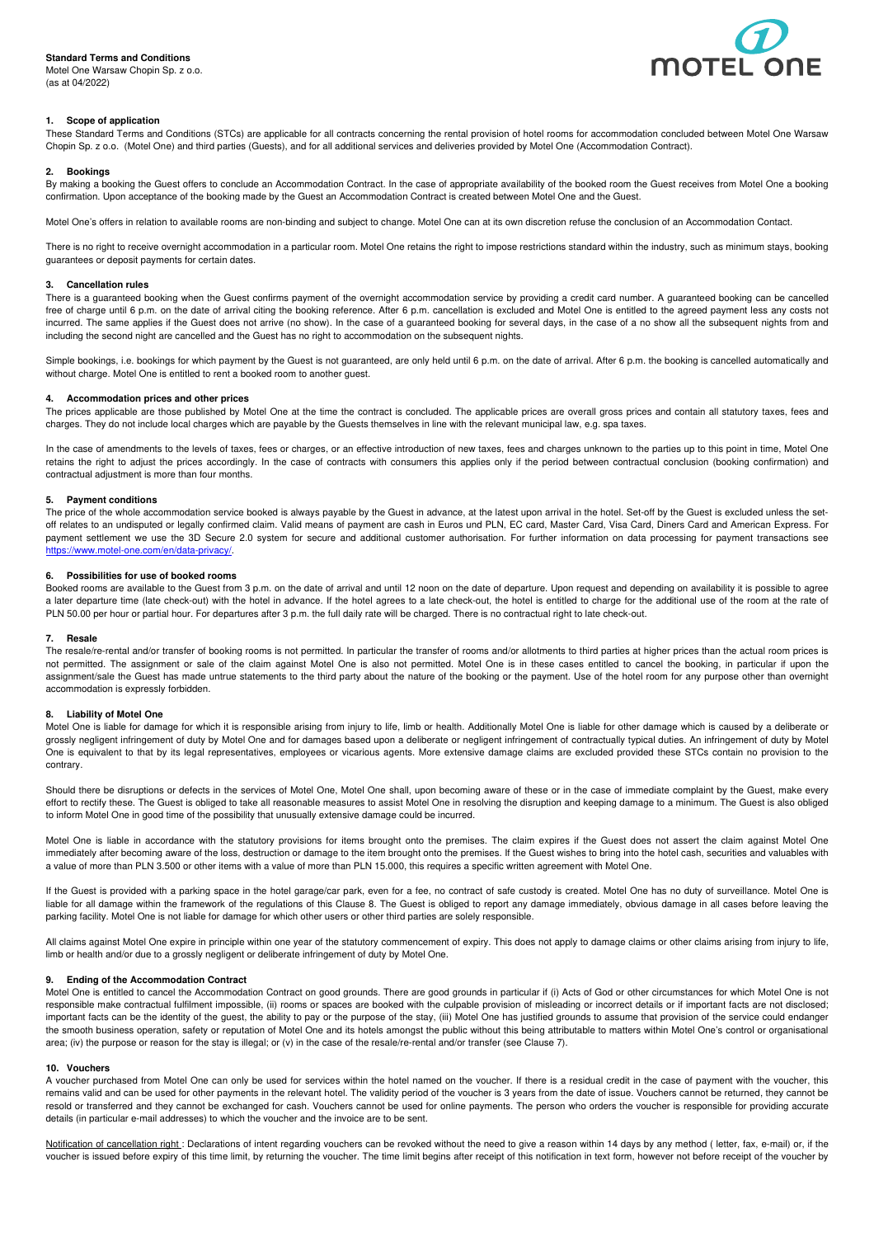# **Standard Terms and Conditions**

Motel One Warsaw Chopin Sp. z o.o. (as at 04/2022)



# **1. Scope of application**

These Standard Terms and Conditions (STCs) are applicable for all contracts concerning the rental provision of hotel rooms for accommodation concluded between Motel One Warsaw Chopin Sp. z o.o. (Motel One) and third parties (Guests), and for all additional services and deliveries provided by Motel One (Accommodation Contract).

### **2. Bookings**

By making a booking the Guest offers to conclude an Accommodation Contract. In the case of appropriate availability of the booked room the Guest receives from Motel One a booking confirmation. Upon acceptance of the booking made by the Guest an Accommodation Contract is created between Motel One and the Guest.

Motel One's offers in relation to available rooms are non-binding and subject to change. Motel One can at its own discretion refuse the conclusion of an Accommodation Contact.

There is no right to receive overnight accommodation in a particular room. Motel One retains the right to impose restrictions standard within the industry, such as minimum stays, booking guarantees or deposit payments for certain dates.

# **3. Cancellation rules**

There is a guaranteed booking when the Guest confirms payment of the overnight accommodation service by providing a credit card number. A guaranteed booking can be cancelled free of charge until 6 p.m. on the date of arrival citing the booking reference. After 6 p.m. cancellation is excluded and Motel One is entitled to the agreed payment less any costs not incurred. The same applies if the Guest does not arrive (no show). In the case of a guaranteed booking for several days, in the case of a no show all the subsequent nights from and including the second night are cancelled and the Guest has no right to accommodation on the subsequent nights.

Simple bookings, i.e. bookings for which payment by the Guest is not guaranteed, are only held until 6 p.m. on the date of arrival. After 6 p.m. the booking is cancelled automatically and without charge. Motel One is entitled to rent a booked room to another guest.

### **4. Accommodation prices and other prices**

The prices applicable are those published by Motel One at the time the contract is concluded. The applicable prices are overall gross prices and contain all statutory taxes, fees and charges. They do not include local charges which are payable by the Guests themselves in line with the relevant municipal law, e.g. spa taxes.

In the case of amendments to the levels of taxes, fees or charges, or an effective introduction of new taxes, fees and charges unknown to the parties up to this point in time, Motel One retains the right to adjust the prices accordingly. In the case of contracts with consumers this applies only if the period between contractual conclusion (booking confirmation) and contractual adjustment is more than four months.

### **5. Payment conditions**

The price of the whole accommodation service booked is always payable by the Guest in advance, at the latest upon arrival in the hotel. Set-off by the Guest is excluded unless the setoff relates to an undisputed or legally confirmed claim. Valid means of payment are cash in Euros und PLN, EC card, Master Card, Visa Card, Diners Card and American Express. For payment settlement we use the 3D Secure 2.0 system for secure and additional customer authorisation. For further information on data processing for payment transactions see https://www.motel-one.com/en/data-privacy/

### **6. Possibilities for use of booked rooms**

Booked rooms are available to the Guest from 3 p.m. on the date of arrival and until 12 noon on the date of departure. Upon request and depending on availability it is possible to agree a later departure time (late check-out) with the hotel in advance. If the hotel agrees to a late check-out, the hotel is entitled to charge for the additional use of the room at the rate of PLN 50.00 per hour or partial hour. For departures after 3 p.m. the full daily rate will be charged. There is no contractual right to late check-out.

# **7. Resale**

The resale/re-rental and/or transfer of booking rooms is not permitted. In particular the transfer of rooms and/or allotments to third parties at higher prices than the actual room prices is not permitted. The assignment or sale of the claim against Motel One is also not permitted. Motel One is in these cases entitled to cancel the booking, in particular if upon the assignment/sale the Guest has made untrue statements to the third party about the nature of the booking or the payment. Use of the hotel room for any purpose other than overnight accommodation is expressly forbidden.

# **8. Liability of Motel One**

Motel One is liable for damage for which it is responsible arising from injury to life. Jimb or health. Additionally Motel One is liable for other damage which is caused by a deliberate or grossly negligent infringement of duty by Motel One and for damages based upon a deliberate or negligent infringement of contractually typical duties. An infringement of duty by Motel One is equivalent to that by its legal representatives, employees or vicarious agents. More extensive damage claims are excluded provided these STCs contain no provision to the contrary.

Should there be disruptions or defects in the services of Motel One, Motel One shall, upon becoming aware of these or in the case of immediate complaint by the Guest, make every effort to rectify these. The Guest is obliged to take all reasonable measures to assist Motel One in resolving the disruption and keeping damage to a minimum. The Guest is also obliged to inform Motel One in good time of the possibility that unusually extensive damage could be incurred.

Motel One is liable in accordance with the statutory provisions for items brought onto the premises. The claim expires if the Guest does not assert the claim against Motel One immediately after becoming aware of the loss, destruction or damage to the item brought onto the premises. If the Guest wishes to bring into the hotel cash, securities and valuables with a value of more than PLN 3.500 or other items with a value of more than PLN 15.000, this requires a specific written agreement with Motel One.

If the Guest is provided with a parking space in the hotel garage/car park, even for a fee, no contract of safe custody is created. Motel One has no duty of surveillance. Motel One is liable for all damage within the framework of the regulations of this Clause 8. The Guest is obliged to report any damage immediately, obvious damage in all cases before leaving the parking facility. Motel One is not liable for damage for which other users or other third parties are solely responsible.

All claims against Motel One expire in principle within one year of the statutory commencement of expiry. This does not apply to damage claims or other claims arising from injury to life, limb or health and/or due to a grossly negligent or deliberate infringement of duty by Motel One.

# **9. Ending of the Accommodation Contract**

Motel One is entitled to cancel the Accommodation Contract on good grounds. There are good grounds in particular if (i) Acts of God or other circumstances for which Motel One is not responsible make contractual fulfilment impossible, (ii) rooms or spaces are booked with the culpable provision of misleading or incorrect details or if important facts are not disclosed; important facts can be the identity of the guest, the ability to pay or the purpose of the stay, (iii) Motel One has justified grounds to assume that provision of the service could endanger the smooth business operation, safety or reputation of Motel One and its hotels amongst the public without this being attributable to matters within Motel One's control or organisational area; (iv) the purpose or reason for the stay is illegal; or (v) in the case of the resale/re-rental and/or transfer (see Clause 7).

# **10. Vouchers**

A voucher purchased from Motel One can only be used for services within the hotel named on the voucher. If there is a residual credit in the case of payment with the voucher, this remains valid and can be used for other payments in the relevant hotel. The validity period of the voucher is 3 years from the date of issue. Vouchers cannot be returned, they cannot be resold or transferred and they cannot be exchanged for cash. Vouchers cannot be used for online payments. The person who orders the voucher is responsible for providing accurate details (in particular e-mail addresses) to which the voucher and the invoice are to be sent.

Notification of cancellation right : Declarations of intent regarding vouchers can be revoked without the need to give a reason within 14 days by any method ( letter, fax, e-mail) or, if the voucher is issued before expiry of this time limit, by returning the voucher. The time limit begins after receipt of this notification in text form, however not before receipt of the voucher by